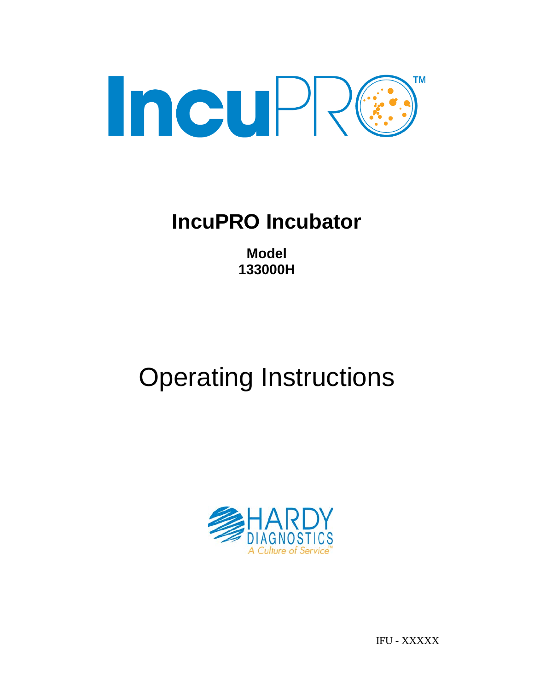

## **IncuPRO Incubator**

**Model 133000H**

# Operating Instructions



IFU - XXXXX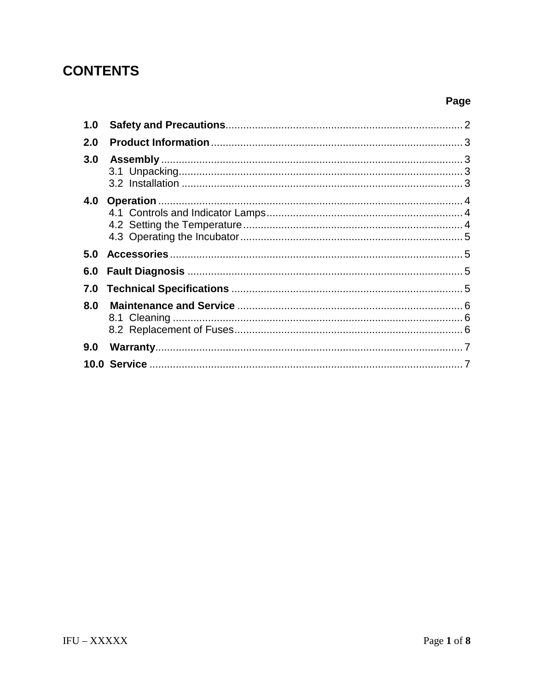## **CONTENTS**

| 1.0 |  |
|-----|--|
| 2.0 |  |
| 3.0 |  |
|     |  |
|     |  |
| 5.0 |  |
| 6.0 |  |
| 7.0 |  |
| 8.0 |  |
|     |  |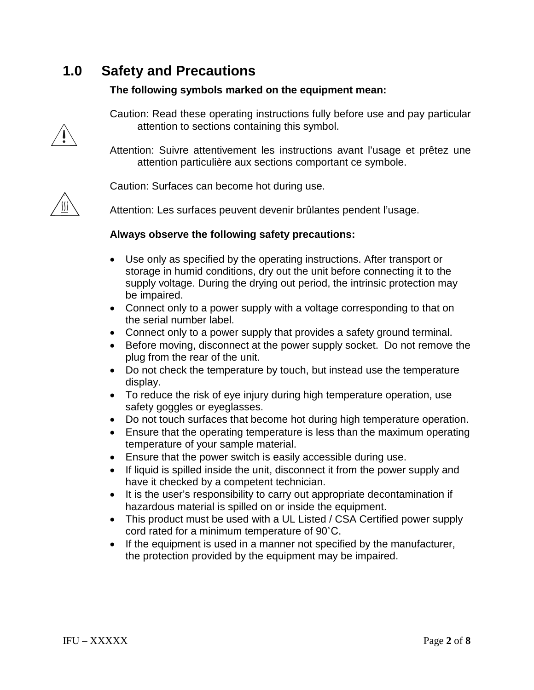## **1.0 Safety and Precautions**

#### **The following symbols marked on the equipment mean:**



Caution: Read these operating instructions fully before use and pay particular attention to sections containing this symbol.

Attention: Suivre attentivement les instructions avant l'usage et prêtez une attention particulière aux sections comportant ce symbole.



Caution: Surfaces can become hot during use.

Attention: Les surfaces peuvent devenir brûlantes pendent l'usage.

#### **Always observe the following safety precautions:**

- Use only as specified by the operating instructions. After transport or storage in humid conditions, dry out the unit before connecting it to the supply voltage. During the drying out period, the intrinsic protection may be impaired.
- Connect only to a power supply with a voltage corresponding to that on the serial number label.
- Connect only to a power supply that provides a safety ground terminal.
- Before moving, disconnect at the power supply socket. Do not remove the plug from the rear of the unit.
- Do not check the temperature by touch, but instead use the temperature display.
- To reduce the risk of eye injury during high temperature operation, use safety goggles or eyeglasses.
- Do not touch surfaces that become hot during high temperature operation.
- Ensure that the operating temperature is less than the maximum operating temperature of your sample material.
- Ensure that the power switch is easily accessible during use.
- If liquid is spilled inside the unit, disconnect it from the power supply and have it checked by a competent technician.
- It is the user's responsibility to carry out appropriate decontamination if hazardous material is spilled on or inside the equipment.
- This product must be used with a UL Listed / CSA Certified power supply cord rated for a minimum temperature of 90˚C.
- If the equipment is used in a manner not specified by the manufacturer, the protection provided by the equipment may be impaired.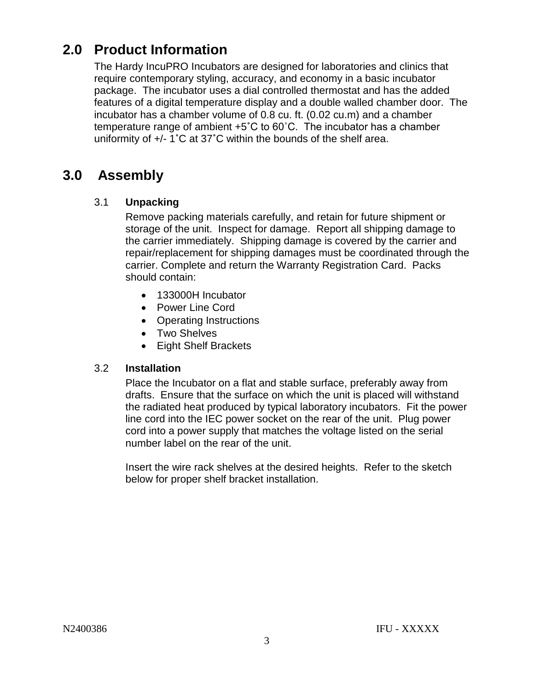## **2.0 Product Information**

The Hardy IncuPRO Incubators are designed for laboratories and clinics that require contemporary styling, accuracy, and economy in a basic incubator package. The incubator uses a dial controlled thermostat and has the added features of a digital temperature display and a double walled chamber door. The incubator has a chamber volume of 0.8 cu. ft. (0.02 cu.m) and a chamber temperature range of ambient +5**˚**C to 60˚C. The incubator has a chamber uniformity of +/- 1**˚**C at 37**˚**C within the bounds of the shelf area.

## **3.0 Assembly**

#### 3.1 **Unpacking**

Remove packing materials carefully, and retain for future shipment or storage of the unit. Inspect for damage. Report all shipping damage to the carrier immediately. Shipping damage is covered by the carrier and repair/replacement for shipping damages must be coordinated through the carrier. Complete and return the Warranty Registration Card. Packs should contain:

- 133000H Incubator
- Power Line Cord
- Operating Instructions
- Two Shelves
- Eight Shelf Brackets

#### 3.2 **Installation**

Place the Incubator on a flat and stable surface, preferably away from drafts. Ensure that the surface on which the unit is placed will withstand the radiated heat produced by typical laboratory incubators. Fit the power line cord into the IEC power socket on the rear of the unit. Plug power cord into a power supply that matches the voltage listed on the serial number label on the rear of the unit.

Insert the wire rack shelves at the desired heights. Refer to the sketch below for proper shelf bracket installation.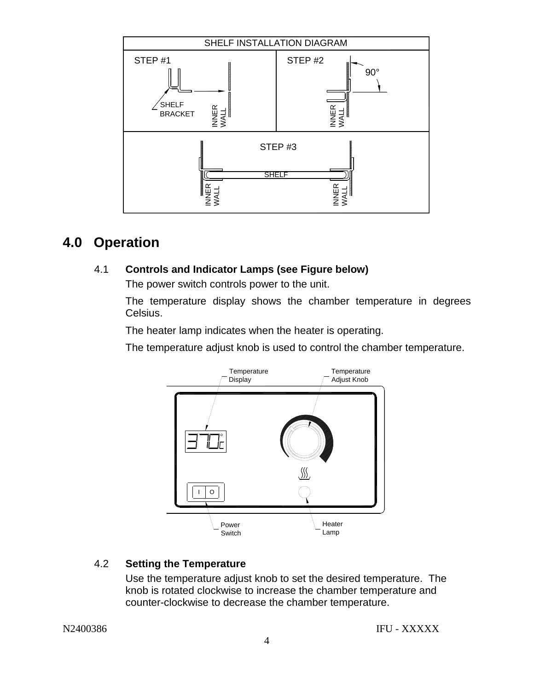

## **4.0 Operation**

#### 4.1 **Controls and Indicator Lamps (see Figure below)**

The power switch controls power to the unit.

The temperature display shows the chamber temperature in degrees Celsius.

The heater lamp indicates when the heater is operating.

The temperature adjust knob is used to control the chamber temperature.



#### 4.2 **Setting the Temperature**

Use the temperature adjust knob to set the desired temperature. The knob is rotated clockwise to increase the chamber temperature and counter-clockwise to decrease the chamber temperature.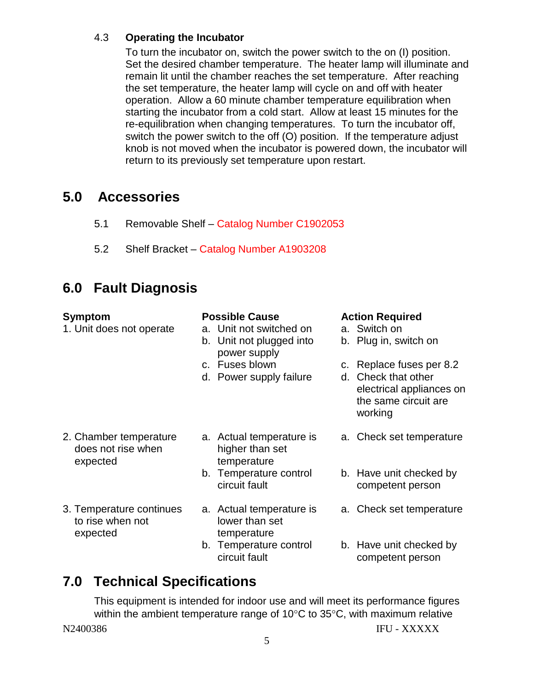#### 4.3 **Operating the Incubator**

To turn the incubator on, switch the power switch to the on (I) position. Set the desired chamber temperature. The heater lamp will illuminate and remain lit until the chamber reaches the set temperature. After reaching the set temperature, the heater lamp will cycle on and off with heater operation. Allow a 60 minute chamber temperature equilibration when starting the incubator from a cold start. Allow at least 15 minutes for the re-equilibration when changing temperatures. To turn the incubator off, switch the power switch to the off (O) position. If the temperature adjust knob is not moved when the incubator is powered down, the incubator will return to its previously set temperature upon restart.

## **5.0 Accessories**

- 5.1 Removable Shelf Catalog Number C1902053
- 5.2 Shelf Bracket Catalog Number A1903208

## **6.0 Fault Diagnosis**

| Symptom<br>1. Unit does not operate                      | <b>Possible Cause</b><br>a. Unit not switched on<br>b. Unit not plugged into<br>power supply | <b>Action Required</b><br>a. Switch on<br>b. Plug in, switch on                                                |
|----------------------------------------------------------|----------------------------------------------------------------------------------------------|----------------------------------------------------------------------------------------------------------------|
|                                                          | c. Fuses blown<br>d. Power supply failure                                                    | c. Replace fuses per 8.2<br>d. Check that other<br>electrical appliances on<br>the same circuit are<br>working |
| 2. Chamber temperature<br>does not rise when<br>expected | a. Actual temperature is<br>higher than set<br>temperature                                   | a. Check set temperature                                                                                       |
|                                                          | b. Temperature control<br>circuit fault                                                      | b. Have unit checked by<br>competent person                                                                    |
| 3. Temperature continues<br>to rise when not<br>expected | a. Actual temperature is<br>lower than set<br>temperature                                    | a. Check set temperature                                                                                       |
|                                                          | b. Temperature control                                                                       | b. Have unit checked by                                                                                        |

## **7.0 Technical Specifications**

N2400386 IFU - XXXXX This equipment is intended for indoor use and will meet its performance figures within the ambient temperature range of 10°C to 35°C, with maximum relative

competent person

circuit fault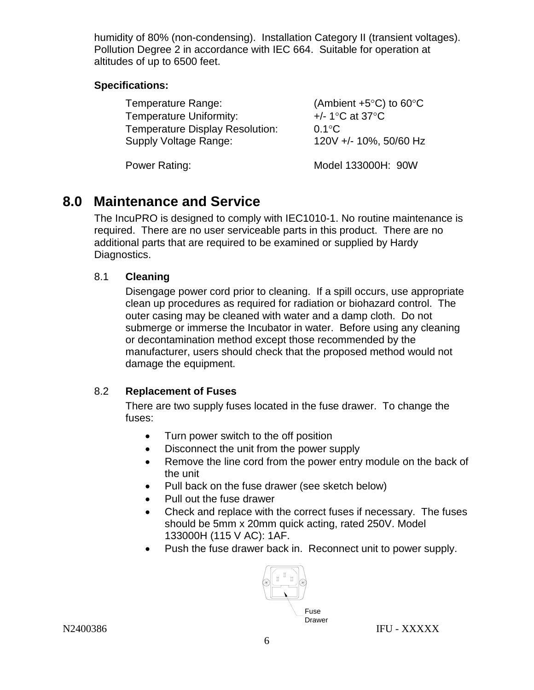humidity of 80% (non-condensing).Installation Category II (transient voltages). Pollution Degree 2 in accordance with IEC 664. Suitable for operation at altitudes of up to 6500 feet.

#### **Specifications:**

| Temperature Range:                     | (Ambient $+5^{\circ}$ C) to 60 $^{\circ}$ C |
|----------------------------------------|---------------------------------------------|
| <b>Temperature Uniformity:</b>         | $+/- 1$ °C at 37°C                          |
| <b>Temperature Display Resolution:</b> | $0.1^{\circ}$ C                             |
| <b>Supply Voltage Range:</b>           | 120V +/- 10%, 50/60 Hz                      |
| Power Rating:                          | Model 133000H: 90W                          |

## **8.0 Maintenance and Service**

The IncuPRO is designed to comply with IEC1010-1. No routine maintenance is required. There are no user serviceable parts in this product. There are no additional parts that are required to be examined or supplied by Hardy Diagnostics.

#### 8.1 **Cleaning**

Disengage power cord prior to cleaning. If a spill occurs, use appropriate clean up procedures as required for radiation or biohazard control. The outer casing may be cleaned with water and a damp cloth. Do not submerge or immerse the Incubator in water. Before using any cleaning or decontamination method except those recommended by the manufacturer, users should check that the proposed method would not damage the equipment.

#### 8.2 **Replacement of Fuses**

There are two supply fuses located in the fuse drawer. To change the fuses:

- Turn power switch to the off position
- Disconnect the unit from the power supply
- Remove the line cord from the power entry module on the back of the unit
- Pull back on the fuse drawer (see sketch below)
- Pull out the fuse drawer
- Check and replace with the correct fuses if necessary. The fuses should be 5mm x 20mm quick acting, rated 250V. Model 133000H (115 V AC): 1AF.
- Push the fuse drawer back in. Reconnect unit to power supply.